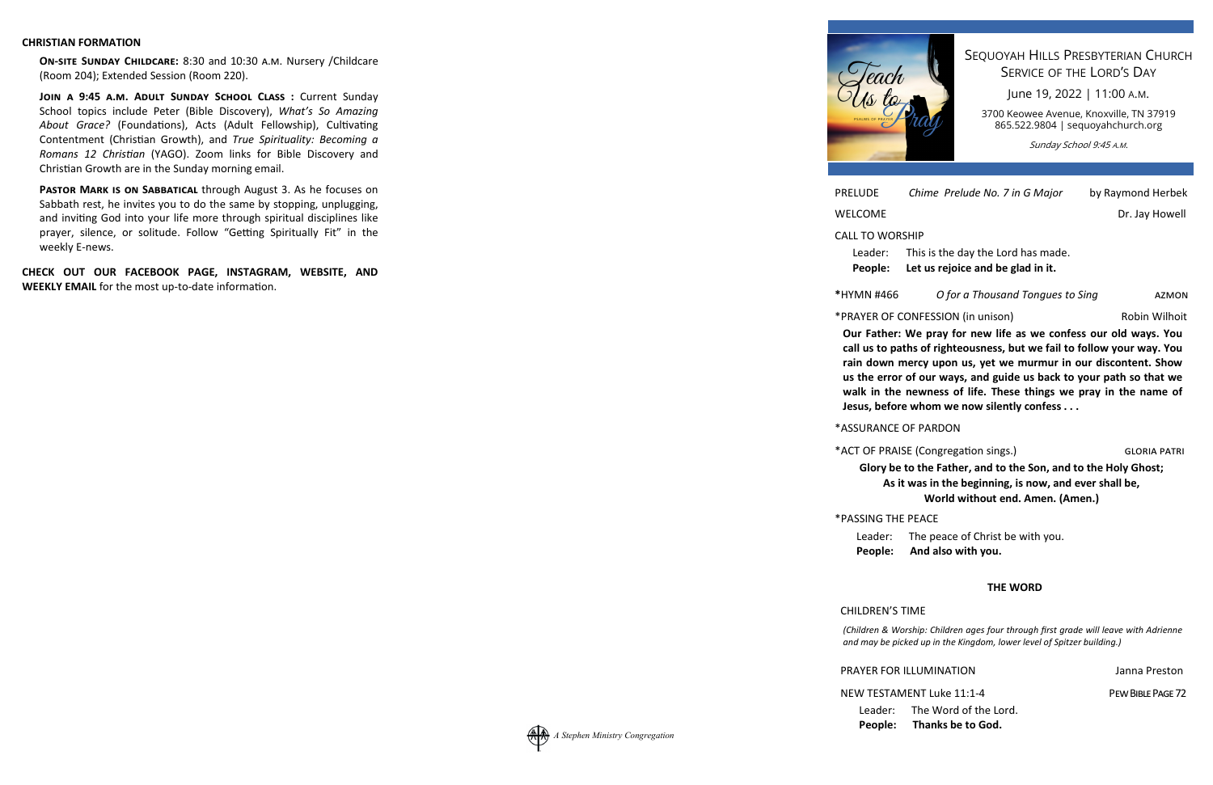#### **CHRISTIAN FORMATION**

ON-SITE SUNDAY CHILDCARE: 8:30 and 10:30 A.M. Nursery / Childcare (Room 204); Extended Session (Room 220).

JOIN A 9:45 A.M. ADULT SUNDAY SCHOOL CLASS: Current Sunday School topics include Peter (Bible Discovery), *What's So Amazing* About Grace? (Foundations), Acts (Adult Fellowship), Cultivating Contentment (Christian Growth), and *True Spirituality: Becoming a Romans 12 Christian* (YAGO). Zoom links for Bible Discovery and Christian Growth are in the Sunday morning email.

**PASTOR MARK IS ON SABBATICAL through August 3. As he focuses on** Sabbath rest, he invites you to do the same by stopping, unplugging, and inviting God into your life more through spiritual disciplines like prayer, silence, or solitude. Follow "Getting Spiritually Fit" in the weekly E-news.

**CHECK OUT OUR FACEBOOK PAGE, INSTAGRAM, WEBSITE, AND WEEKLY EMAIL** for the most up-to-date information.

PRELUDE *Chime Prelude No. 7 in G Major* by Raymond Herbek

WELCOME Dr. Jay Howell

#### CALL TO WORSHIP

Leader: This is the day the Lord has made. **People: Let us rejoice and be glad in it.**

#### **\***HYMN #466 *O for a Thousand Tongues to Sing*

AZMON

\*PRAYER OF CONFESSION (in unison) Robin Wilhoit

**Our Father: We pray for new life as we confess our old ways. You call us to paths of righteousness, but we fail to follow your way. You rain down mercy upon us, yet we murmur in our discontent. Show us the error of our ways, and guide us back to your path so that we walk in the newness of life. These things we pray in the name of Jesus, before whom we now silently confess . . .**

\*ACT OF PRAISE (Congregation sings.)

\*ASSURANCE OF PARDON

**Glory be to the Father, and to the Son, and to the Holy Ghost; As it was in the beginning, is now, and ever shall be, World without end. Amen. (Amen.)** 

\*PASSING THE PEACE

Leader: The peace of Christ be with you.

**People: And also with you.** 

## **THE WORD**

NEW TESTAMENT Luke 11:1-4

# CHILDREN'S TIME

*(Children & Worship: Children ages four through first grade will leave with Adrienne and may be picked up in the Kingdom, lower level of Spitzer building.)*

PRAYER FOR ILLUMINATION Janna Preston

Leader: The Word of the Lord.

**People: Thanks be to God.**

PEW BIBLE PAGE 72

) GLORIA PATRI